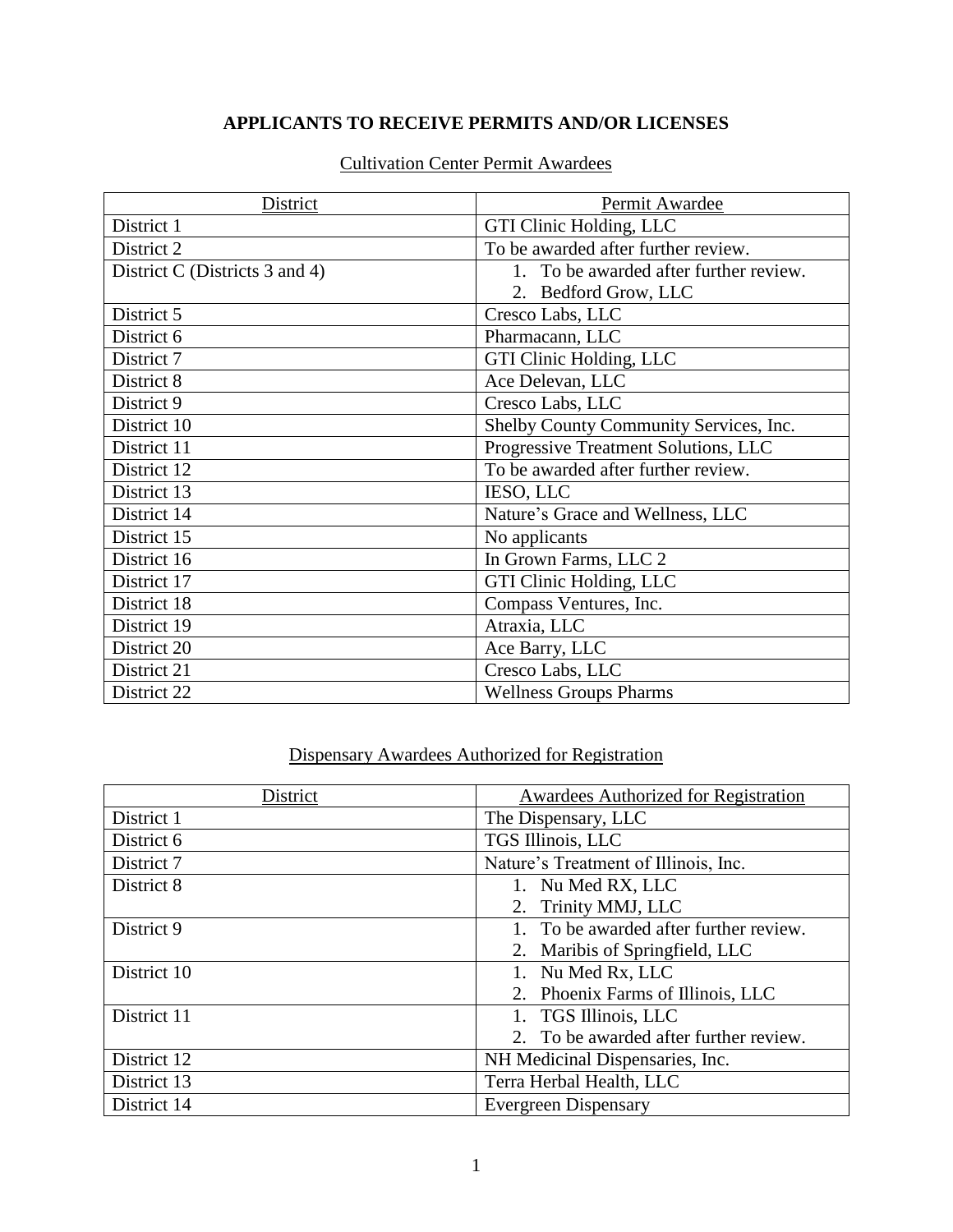### **APPLICANTS TO RECEIVE PERMITS AND/OR LICENSES**

| District                       | Permit Awardee                         |
|--------------------------------|----------------------------------------|
| District 1                     | GTI Clinic Holding, LLC                |
| District 2                     | To be awarded after further review.    |
| District C (Districts 3 and 4) | 1. To be awarded after further review. |
|                                | 2. Bedford Grow, LLC                   |
| District 5                     | Cresco Labs, LLC                       |
| District 6                     | Pharmacann, LLC                        |
| District 7                     | GTI Clinic Holding, LLC                |
| District 8                     | Ace Delevan, LLC                       |
| District 9                     | Cresco Labs, LLC                       |
| District 10                    | Shelby County Community Services, Inc. |
| District 11                    | Progressive Treatment Solutions, LLC   |
| District 12                    | To be awarded after further review.    |
| District 13                    | IESO, LLC                              |
| District 14                    | Nature's Grace and Wellness, LLC       |
| District 15                    | No applicants                          |
| District 16                    | In Grown Farms, LLC 2                  |
| District 17                    | GTI Clinic Holding, LLC                |
| District 18                    | Compass Ventures, Inc.                 |
| District 19                    | Atraxia, LLC                           |
| District 20                    | Ace Barry, LLC                         |
| District 21                    | Cresco Labs, LLC                       |
| District 22                    | <b>Wellness Groups Pharms</b>          |

#### Cultivation Center Permit Awardees

# Dispensary Awardees Authorized for Registration

| District    | <b>Awardees Authorized for Registration</b> |
|-------------|---------------------------------------------|
| District 1  | The Dispensary, LLC                         |
| District 6  | TGS Illinois, LLC                           |
| District 7  | Nature's Treatment of Illinois, Inc.        |
| District 8  | 1. Nu Med RX, LLC                           |
|             | 2. Trinity MMJ, LLC                         |
| District 9  | 1. To be awarded after further review.      |
|             | 2. Maribis of Springfield, LLC              |
| District 10 | 1. Nu Med Rx, LLC                           |
|             | 2. Phoenix Farms of Illinois, LLC           |
| District 11 | 1. TGS Illinois, LLC                        |
|             | 2. To be awarded after further review.      |
| District 12 | NH Medicinal Dispensaries, Inc.             |
| District 13 | Terra Herbal Health, LLC                    |
| District 14 | <b>Evergreen Dispensary</b>                 |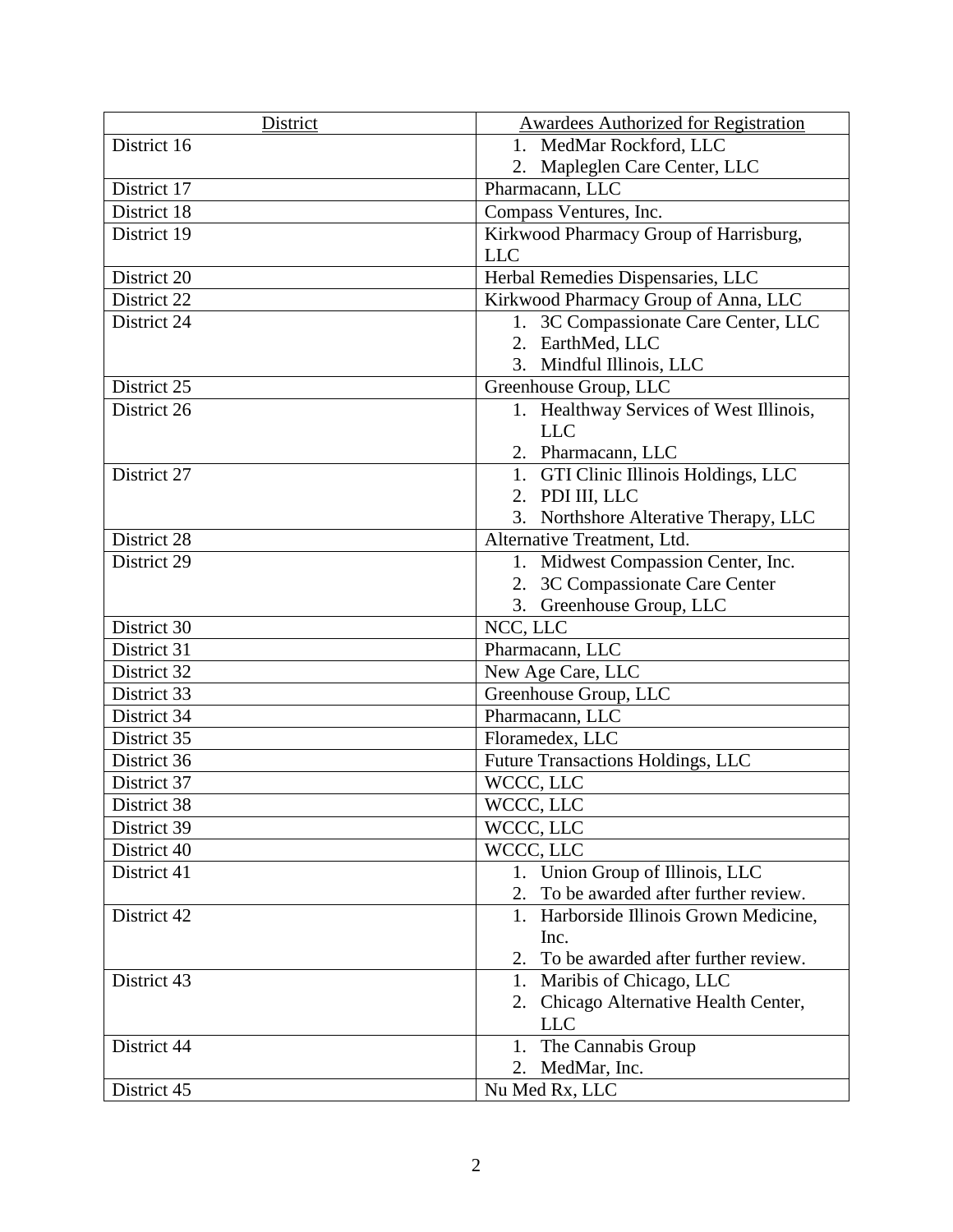| District    | <b>Awardees Authorized for Registration</b> |
|-------------|---------------------------------------------|
| District 16 | 1. MedMar Rockford, LLC                     |
|             | 2. Mapleglen Care Center, LLC               |
| District 17 | Pharmacann, LLC                             |
| District 18 | Compass Ventures, Inc.                      |
| District 19 | Kirkwood Pharmacy Group of Harrisburg,      |
|             | <b>LLC</b>                                  |
| District 20 | Herbal Remedies Dispensaries, LLC           |
| District 22 | Kirkwood Pharmacy Group of Anna, LLC        |
| District 24 | 1. 3C Compassionate Care Center, LLC        |
|             | 2. EarthMed, LLC                            |
|             | 3. Mindful Illinois, LLC                    |
| District 25 | Greenhouse Group, LLC                       |
| District 26 | 1. Healthway Services of West Illinois,     |
|             | <b>LLC</b>                                  |
|             | 2. Pharmacann, LLC                          |
| District 27 | 1. GTI Clinic Illinois Holdings, LLC        |
|             | 2. PDI III, LLC                             |
|             | 3. Northshore Alterative Therapy, LLC       |
| District 28 | Alternative Treatment, Ltd.                 |
| District 29 | 1. Midwest Compassion Center, Inc.          |
|             | 2. 3C Compassionate Care Center             |
| District 30 | 3. Greenhouse Group, LLC                    |
| District 31 | NCC, LLC<br>Pharmacann, LLC                 |
| District 32 | New Age Care, LLC                           |
| District 33 | Greenhouse Group, LLC                       |
| District 34 | Pharmacann, LLC                             |
| District 35 | Floramedex, LLC                             |
| District 36 | Future Transactions Holdings, LLC           |
| District 37 | WCCC, LLC                                   |
| District 38 | WCCC, LLC                                   |
| District 39 | WCCC, LLC                                   |
| District 40 | WCCC, LLC                                   |
| District 41 | 1. Union Group of Illinois, LLC             |
|             | To be awarded after further review.<br>2.   |
| District 42 | Harborside Illinois Grown Medicine,         |
|             | Inc.                                        |
|             | To be awarded after further review.<br>2.   |
| District 43 | 1. Maribis of Chicago, LLC                  |
|             | 2. Chicago Alternative Health Center,       |
|             | <b>LLC</b>                                  |
| District 44 | The Cannabis Group<br>1.                    |
|             | MedMar, Inc.<br>2.                          |
| District 45 | Nu Med Rx, LLC                              |